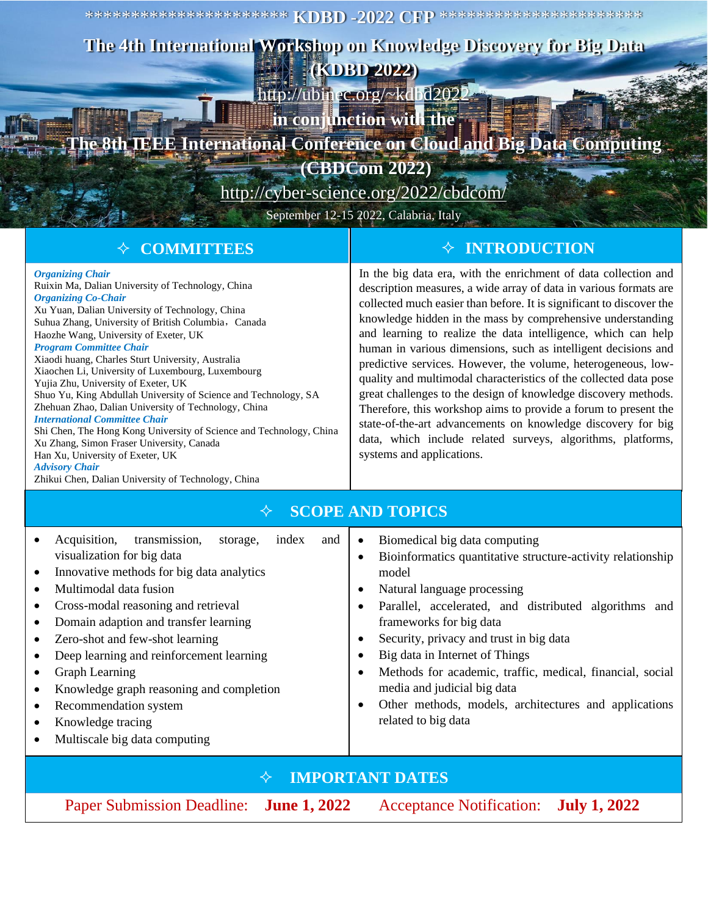\*\*\*\*\*\*\*\*\*\*\*\*\*\*\*\*\*\*\*\*\*\* **KDBD -2022 CFP** \*\*\*\*\*\*\*\*\*\*\*\*\*\*\*\*\*\*\*\*\*\*

## **The 4th International Workshop on Knowledge Discovery for Big Data**

**(KDBD 2022)** [http://ubinec.org/~kdbd2022](http://ubinec.org/~kdbd2020)

**in conjunction with the** 

## **TEEE International Conference on Cloud and Big Data Computing**

**(CBDCom 2022)**

<http://cyber-science.org/2022/cbdcom/>

September 12-15 2022, Calabria, Italy

| <b>♦ COMMITTEES</b>                                                                                                                                                                                                                                                                                                                                                                                                                                                                                                                                                                                                                                                                                                                                                                                                                                         | $\diamond$ INTRODUCTION                                                                                                                                                                                                                                                                                                                                                                                                                                                                                                                                                                                                                                                                                                                                                                                                                               |
|-------------------------------------------------------------------------------------------------------------------------------------------------------------------------------------------------------------------------------------------------------------------------------------------------------------------------------------------------------------------------------------------------------------------------------------------------------------------------------------------------------------------------------------------------------------------------------------------------------------------------------------------------------------------------------------------------------------------------------------------------------------------------------------------------------------------------------------------------------------|-------------------------------------------------------------------------------------------------------------------------------------------------------------------------------------------------------------------------------------------------------------------------------------------------------------------------------------------------------------------------------------------------------------------------------------------------------------------------------------------------------------------------------------------------------------------------------------------------------------------------------------------------------------------------------------------------------------------------------------------------------------------------------------------------------------------------------------------------------|
| <b>Organizing Chair</b><br>Ruixin Ma, Dalian University of Technology, China<br><b>Organizing Co-Chair</b><br>Xu Yuan, Dalian University of Technology, China<br>Suhua Zhang, University of British Columbia, Canada<br>Haozhe Wang, University of Exeter, UK<br><b>Program Committee Chair</b><br>Xiaodi huang, Charles Sturt University, Australia<br>Xiaochen Li, University of Luxembourg, Luxembourg<br>Yujia Zhu, University of Exeter, UK<br>Shuo Yu, King Abdullah University of Science and Technology, SA<br>Zhehuan Zhao, Dalian University of Technology, China<br><b>International Committee Chair</b><br>Shi Chen, The Hong Kong University of Science and Technology, China<br>Xu Zhang, Simon Fraser University, Canada<br>Han Xu, University of Exeter, UK<br><b>Advisory Chair</b><br>Zhikui Chen, Dalian University of Technology, China | In the big data era, with the enrichment of data collection and<br>description measures, a wide array of data in various formats are<br>collected much easier than before. It is significant to discover the<br>knowledge hidden in the mass by comprehensive understanding<br>and learning to realize the data intelligence, which can help<br>human in various dimensions, such as intelligent decisions and<br>predictive services. However, the volume, heterogeneous, low-<br>quality and multimodal characteristics of the collected data pose<br>great challenges to the design of knowledge discovery methods.<br>Therefore, this workshop aims to provide a forum to present the<br>state-of-the-art advancements on knowledge discovery for big<br>data, which include related surveys, algorithms, platforms,<br>systems and applications. |
| <b>SCOPE AND TOPICS</b><br>✧                                                                                                                                                                                                                                                                                                                                                                                                                                                                                                                                                                                                                                                                                                                                                                                                                                |                                                                                                                                                                                                                                                                                                                                                                                                                                                                                                                                                                                                                                                                                                                                                                                                                                                       |
| transmission,<br>Acquisition,<br>index<br>storage,<br>and<br>visualization for big data<br>Innovative methods for big data analytics<br>Multimodal data fusion<br>Cross-modal reasoning and retrieval<br>Domain adaption and transfer learning<br>Zero-shot and few-shot learning                                                                                                                                                                                                                                                                                                                                                                                                                                                                                                                                                                           | Biomedical big data computing<br>$\bullet$<br>Bioinformatics quantitative structure-activity relationship<br>$\bullet$<br>model<br>Natural language processing<br>Parallel, accelerated, and distributed algorithms and<br>frameworks for big data<br>Security, privacy and trust in big data                                                                                                                                                                                                                                                                                                                                                                                                                                                                                                                                                         |

- Zero-shot and few-shot learning
- Deep learning and reinforcement learning
- Graph Learning
- Knowledge graph reasoning and completion
- Recommendation system
- Knowledge tracing
- Multiscale big data computing

## **IMPORTANT DATES**

Paper Submission Deadline: **June 1, 2022** Acceptance Notification: **July 1, 2022**

• Big data in Internet of Things

media and judicial big data

related to big data

• Methods for academic, traffic, medical, financial, social

Other methods, models, architectures and applications